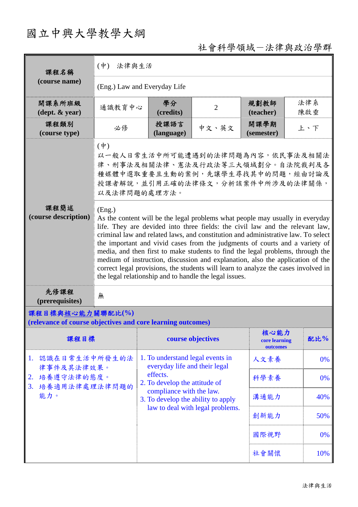# 國立中興大學教學大綱

## 社會科學領域-法律與政治學群

| 課程名稱                                                                            | $(\dot{\Psi})$<br>法律與生活                                                                                                                                                                                                                                                                                                                                                                                                                                                                                                                                                                                                                                          |                                                                        |                                  |                                   |            |  |  |
|---------------------------------------------------------------------------------|------------------------------------------------------------------------------------------------------------------------------------------------------------------------------------------------------------------------------------------------------------------------------------------------------------------------------------------------------------------------------------------------------------------------------------------------------------------------------------------------------------------------------------------------------------------------------------------------------------------------------------------------------------------|------------------------------------------------------------------------|----------------------------------|-----------------------------------|------------|--|--|
| (course name)                                                                   | (Eng.) Law and Everyday Life                                                                                                                                                                                                                                                                                                                                                                                                                                                                                                                                                                                                                                     |                                                                        |                                  |                                   |            |  |  |
| 開課系所班級<br>$(\text{dept.} \& \text{ year})$                                      | 通識教育中心                                                                                                                                                                                                                                                                                                                                                                                                                                                                                                                                                                                                                                                           | 學分<br>(credits)                                                        | $\overline{2}$                   | 規劃教師<br>(teacher)                 | 法律系<br>陳啟垂 |  |  |
| 課程類別<br>(course type)                                                           | 必修                                                                                                                                                                                                                                                                                                                                                                                                                                                                                                                                                                                                                                                               | 授課語言<br>(language)                                                     | 中文、英文                            | 開課學期<br>(semester)                | 上、下        |  |  |
|                                                                                 | $(\phi)$<br>以一般人日常生活中所可能遭遇到的法律問題為內容,依民事法及相關法<br>律、刑事法及相關法律、憲法及行政法等三大領域劃分。自法院裁判及各<br>種媒體中選取重要且生動的案例,先讓學生尋找其中的問題,經由討論及<br>授課者解說,並引用正確的法律條文,分析該案件中所涉及的法律關係,<br>以及法律問題的處理方法。                                                                                                                                                                                                                                                                                                                                                                                                                                                                                         |                                                                        |                                  |                                   |            |  |  |
| 課程簡述<br>(course description)                                                    | (Eng.)<br>As the content will be the legal problems what people may usually in everyday<br>life. They are devided into three fields: the civil law and the relevant law,<br>criminal law and related laws, and constitution and administrative law. To select<br>the important and vivid cases from the judgments of courts and a variety of<br>media, and then first to make students to find the legal problems, through the<br>medium of instruction, discussion and explanation, also the application of the<br>correct legal provisions, the students will learn to analyze the cases involved in<br>the legal relationship and to handle the legal issues. |                                                                        |                                  |                                   |            |  |  |
| 先修課程<br>(prerequisites)                                                         | 無                                                                                                                                                                                                                                                                                                                                                                                                                                                                                                                                                                                                                                                                |                                                                        |                                  |                                   |            |  |  |
| 課程目標與核心能力關聯配比(%)<br>(relevance of course objectives and core learning outcomes) |                                                                                                                                                                                                                                                                                                                                                                                                                                                                                                                                                                                                                                                                  |                                                                        |                                  |                                   |            |  |  |
| 課程目標                                                                            |                                                                                                                                                                                                                                                                                                                                                                                                                                                                                                                                                                                                                                                                  |                                                                        | course objectives                | 核心能力<br>core learning<br>outcomes | 配比%        |  |  |
| 認識在日常生活中所發生的法<br>1.<br>律事件及其法律效果。                                               |                                                                                                                                                                                                                                                                                                                                                                                                                                                                                                                                                                                                                                                                  | 1. To understand legal events in<br>everyday life and their legal      |                                  | 人文素養                              | 0%         |  |  |
| 培養遵守法律的態度。<br>2.<br>培養適用法律處理法律問題的<br>3.                                         |                                                                                                                                                                                                                                                                                                                                                                                                                                                                                                                                                                                                                                                                  | effects.<br>2. To develop the attitude of                              | 科學素養                             | 0%                                |            |  |  |
| 能力。                                                                             |                                                                                                                                                                                                                                                                                                                                                                                                                                                                                                                                                                                                                                                                  | compliance with the law.<br>溝通能力<br>3. To develop the ability to apply |                                  |                                   | 40%        |  |  |
|                                                                                 |                                                                                                                                                                                                                                                                                                                                                                                                                                                                                                                                                                                                                                                                  |                                                                        | law to deal with legal problems. | 創新能力                              | 50%        |  |  |
|                                                                                 |                                                                                                                                                                                                                                                                                                                                                                                                                                                                                                                                                                                                                                                                  |                                                                        |                                  | 國際視野                              | 0%         |  |  |
|                                                                                 |                                                                                                                                                                                                                                                                                                                                                                                                                                                                                                                                                                                                                                                                  |                                                                        |                                  | 社會關懷                              | 10%        |  |  |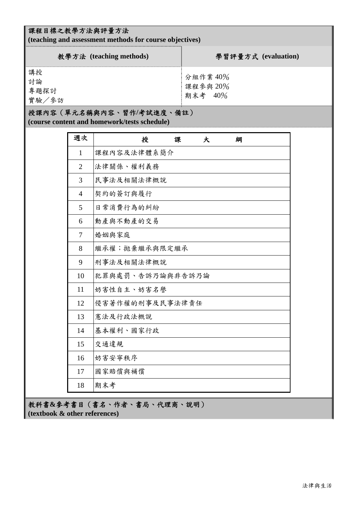## 課程目標之教學方法與評量方法

**(teaching and assessment methods for course objectives)** 

| 教學方法 (teaching methods)   | 學習評量方式 (evaluation)             |
|---------------------------|---------------------------------|
| 講授<br>討論<br>專題探討<br>實驗/參訪 | 分組作業 40%<br>課程參與 20%<br>期末考 40% |

#### 授課內容(單元名稱與內容、習作**/**考試進度、備註)

**(course content and homework/tests schedule)** 

| 週次             | 授<br>課<br>大<br>綱 |
|----------------|------------------|
| $\mathbf{1}$   | 課程內容及法律體系簡介      |
| $\overline{2}$ | 法律關係、權利義務        |
| 3              | 民事法及相關法律概說       |
| $\overline{4}$ | 契約的簽訂與履行         |
| 5              | 日常消費行為的糾紛        |
| 6              | 動產與不動產的交易        |
| 7              | 婚姻與家庭            |
| 8              | 繼承權; 拋棄繼承與限定繼承   |
| 9              | 刑事法及相關法律概說       |
| 10             | 犯罪與處罰、告訴乃論與非告訴乃論 |
| 11             | 妨害性自主、妨害名譽       |
| 12             | 侵害著作權的刑事及民事法律責任  |
| 13             | 憲法及行政法概說         |
| 14             | 基本權利、國家行政        |
| 15             | 交通違規             |
| 16             | 妨害安寧秩序           |
| 17             | 國家賠償與補償          |
| 18             | 期末考              |

教科書**&**參考書目(書名、作者、書局、代理商、說明) **(textbook & other references)**